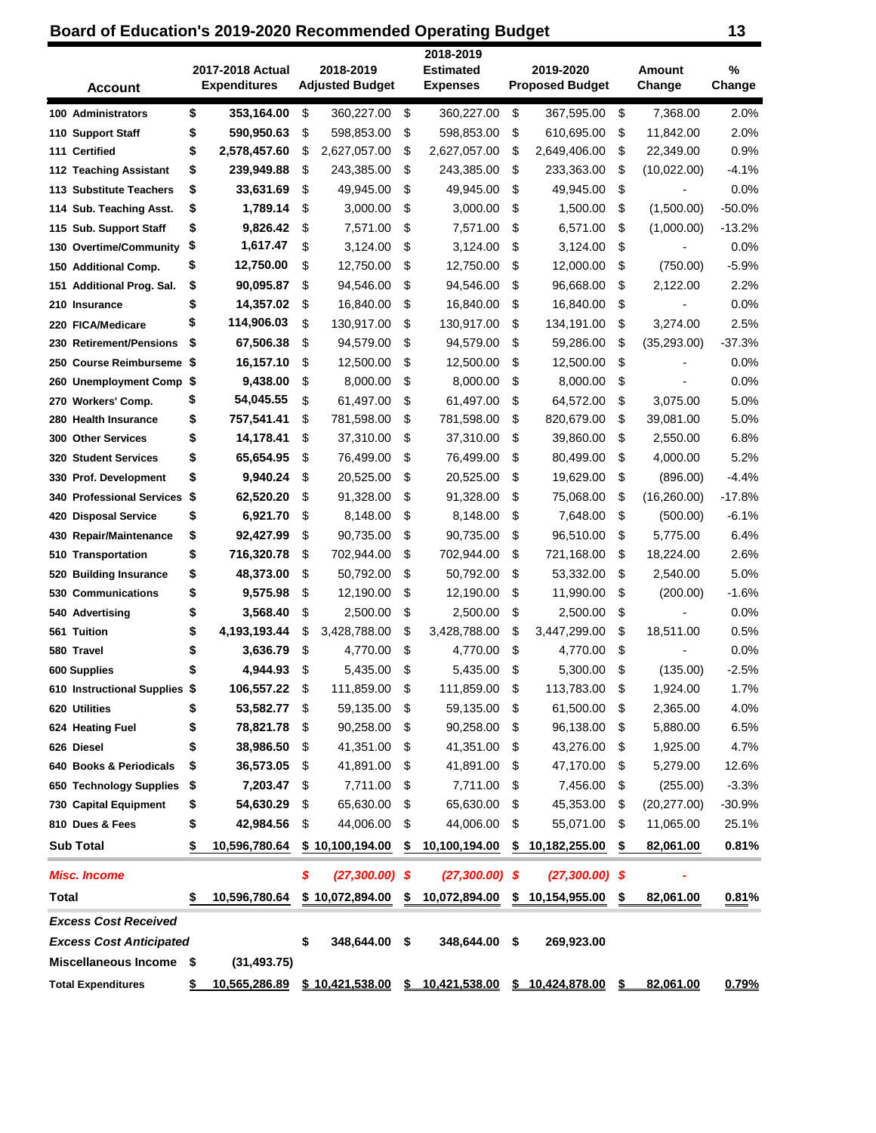## **Board of Education's 2019-2020 Recommended Operating Budget 13**

| <b>Account</b>                   | 2017-2018 Actual<br><b>Expenditures</b> | 2018-2019<br><b>Adjusted Budget</b> |      | 2018-2019<br><b>Estimated</b><br><b>Expenses</b> | 2019-2020<br><b>Proposed Budget</b>                              | Amount<br>Change               | %<br>Change  |
|----------------------------------|-----------------------------------------|-------------------------------------|------|--------------------------------------------------|------------------------------------------------------------------|--------------------------------|--------------|
| 100 Administrators               | \$<br>353,164.00                        | \$<br>360,227.00                    | \$   | 360,227.00                                       | \$<br>367,595.00                                                 | \$<br>7,368.00                 | 2.0%         |
| 110 Support Staff                | \$<br>590,950.63                        | \$<br>598,853.00                    | \$   | 598,853.00                                       | \$<br>610,695.00                                                 | \$<br>11,842.00                | 2.0%         |
| 111 Certified                    | \$<br>2,578,457.60                      | \$<br>2,627,057.00                  | \$   | 2,627,057.00                                     | \$<br>2,649,406.00                                               | \$<br>22,349.00                | 0.9%         |
| 112 Teaching Assistant           | \$<br>239,949.88                        | \$<br>243,385.00                    | \$   | 243,385.00                                       | \$<br>233,363.00                                                 | \$<br>(10,022.00)              | $-4.1%$      |
| 113 Substitute Teachers          | \$<br>33,631.69                         | \$<br>49,945.00                     | \$   | 49,945.00                                        | \$<br>49,945.00                                                  | \$                             | 0.0%         |
| 114 Sub. Teaching Asst.          | \$<br>1,789.14                          | \$<br>3,000.00                      | \$   | 3,000.00                                         | \$<br>1,500.00                                                   | \$<br>(1,500.00)               | -50.0%       |
| 115 Sub. Support Staff           | \$<br>9,826.42                          | \$<br>7,571.00                      | \$   | 7,571.00                                         | \$<br>6,571.00                                                   | \$<br>(1,000.00)               | $-13.2%$     |
| 130 Overtime/Community           | \$<br>1,617.47                          | \$<br>3,124.00                      | \$   | 3,124.00                                         | \$<br>3,124.00                                                   | \$                             | 0.0%         |
| 150 Additional Comp.             | \$<br>12,750.00                         | \$<br>12,750.00                     | \$   | 12,750.00                                        | \$<br>12,000.00                                                  | \$<br>(750.00)                 | $-5.9%$      |
| 151 Additional Prog. Sal.        | \$<br>90,095.87                         | \$<br>94,546.00                     | \$   | 94,546.00                                        | \$<br>96,668.00                                                  | \$<br>2,122.00                 | 2.2%         |
| 210 Insurance                    | \$<br>14,357.02                         | \$<br>16,840.00                     | \$   | 16,840.00                                        | \$<br>16,840.00                                                  | \$<br>$\overline{a}$           | 0.0%         |
| 220 FICA/Medicare                | \$<br>114,906.03                        | \$<br>130,917.00                    | \$   | 130,917.00                                       | \$<br>134,191.00                                                 | \$<br>3,274.00                 | 2.5%         |
| 230 Retirement/Pensions          | \$<br>67,506.38                         | \$<br>94,579.00                     | \$   | 94,579.00                                        | \$<br>59,286.00                                                  | \$<br>(35, 293.00)             | $-37.3%$     |
| <b>Course Reimburseme</b><br>250 | \$<br>16,157.10                         | \$<br>12,500.00                     | \$   | 12,500.00                                        | \$<br>12,500.00                                                  | \$                             | 0.0%         |
| <b>Unemployment Comp</b><br>260  | \$<br>9,438.00                          | \$<br>8,000.00                      | \$   | 8,000.00                                         | \$<br>8,000.00                                                   | \$                             | 0.0%         |
| Workers' Comp.<br>270            | \$<br>54,045.55                         | \$<br>61,497.00                     | \$   | 61,497.00                                        | \$<br>64,572.00                                                  | \$<br>3,075.00                 | 5.0%         |
| 280<br><b>Health Insurance</b>   | \$<br>757,541.41                        | \$<br>781,598.00                    | \$   | 781,598.00                                       | \$<br>820,679.00                                                 | \$<br>39,081.00                | 5.0%         |
| <b>Other Services</b><br>300     | \$<br>14,178.41                         | \$<br>37,310.00                     | \$   | 37,310.00                                        | \$<br>39,860.00                                                  | \$<br>2,550.00                 | 6.8%         |
| <b>Student Services</b><br>320   | \$<br>65,654.95                         | \$<br>76,499.00                     | \$   | 76,499.00                                        | \$<br>80,499.00                                                  | \$<br>4,000.00                 | 5.2%         |
| 330 Prof. Development            | \$<br>9,940.24                          | \$<br>20,525.00                     | \$   | 20,525.00                                        | \$<br>19,629.00                                                  | \$<br>(896.00)                 | $-4.4%$      |
| <b>340 Professional Services</b> | \$<br>62,520.20                         | \$<br>91,328.00                     | \$   | 91,328.00                                        | \$<br>75,068.00                                                  | \$<br>(16, 260.00)             | $-17.8%$     |
| 420 Disposal Service             | \$<br>6,921.70                          | \$<br>8,148.00                      | \$   | 8,148.00                                         | \$<br>7,648.00                                                   | \$<br>(500.00)                 | $-6.1%$      |
| <b>Repair/Maintenance</b><br>430 | \$<br>92,427.99                         | \$<br>90,735.00                     | \$   | 90,735.00                                        | \$<br>96,510.00                                                  | \$<br>5,775.00                 | 6.4%         |
| Transportation<br>510            | \$<br>716,320.78                        | \$<br>702,944.00                    | \$   | 702,944.00                                       | \$<br>721,168.00                                                 | \$<br>18,224.00                | 2.6%         |
| <b>Building Insurance</b><br>520 | \$<br>48,373.00                         | \$<br>50,792.00                     | \$   | 50,792.00                                        | \$<br>53,332.00                                                  | \$<br>2,540.00                 | 5.0%         |
| 530 Communications               | \$<br>9,575.98                          | \$<br>12,190.00                     | \$   | 12,190.00                                        | \$<br>11,990.00                                                  | \$<br>(200.00)                 | $-1.6%$      |
| 540 Advertising                  | \$<br>3,568.40                          | \$<br>2,500.00                      | \$   | 2,500.00                                         | \$<br>2,500.00                                                   | \$<br>$\overline{\phantom{a}}$ | 0.0%         |
| 561<br>Tuition                   | \$<br>4,193,193.44                      | \$<br>3,428,788.00                  | \$   | 3,428,788.00                                     | \$<br>3,447,299.00                                               | \$<br>18,511.00                | 0.5%         |
| 580 Travel                       | 3,636.79                                | \$<br>4,770.00                      | \$   | 4,770.00                                         | \$<br>4,770.00                                                   | \$                             | 0.0%         |
| 600 Supplies                     | 4,944.93                                | \$<br>5,435.00                      | \$   | 5,435.00                                         | \$<br>5,300.00                                                   | \$<br>(135.00)                 | $-2.5%$      |
| 610 Instructional Supplies \$    | 106,557.22                              | \$<br>111,859.00                    | \$   | 111,859.00                                       | \$<br>113,783.00                                                 | \$<br>1,924.00                 | 1.7%         |
| 620 Utilities                    | \$<br>53,582.77 \$                      | 59,135.00                           | \$   | 59,135.00                                        | \$<br>61,500.00                                                  | \$<br>2,365.00                 | 4.0%         |
| 624 Heating Fuel                 | \$<br>78,821.78                         | \$<br>90,258.00                     | \$   | 90,258.00                                        | \$<br>96,138.00                                                  | \$<br>5,880.00                 | 6.5%         |
| 626 Diesel                       | 38,986.50                               | \$<br>41,351.00                     | \$   | 41,351.00                                        | \$<br>43,276.00                                                  | \$<br>1,925.00                 | 4.7%         |
| 640 Books & Periodicals          | \$<br>36,573.05                         | \$<br>41,891.00                     | \$   | 41,891.00                                        | \$<br>47,170.00                                                  | \$<br>5,279.00                 | 12.6%        |
| 650 Technology Supplies          | \$<br>7,203.47                          | \$<br>7,711.00                      | \$   | 7,711.00                                         | \$<br>7,456.00                                                   | \$<br>(255.00)                 | $-3.3%$      |
| 730 Capital Equipment            | \$<br>54,630.29                         | \$<br>65,630.00                     | \$   | 65,630.00                                        | \$<br>45,353.00                                                  | \$<br>(20, 277.00)             | $-30.9%$     |
| 810 Dues & Fees                  | \$<br>42,984.56                         | \$<br>44,006.00                     | \$   | 44,006.00                                        | \$<br>55,071.00                                                  | \$<br>11,065.00                | 25.1%        |
| <b>Sub Total</b>                 | 10,596,780.64                           | \$10,100,194.00                     | \$   | 10,100,194.00                                    | \$<br>10,182,255.00                                              | \$<br>82,061.00                | 0.81%        |
| <b>Misc. Income</b>              |                                         | \$<br>$(27,300.00)$ \$              |      | $(27,300.00)$ \$                                 | $(27,300.00)$ \$                                                 |                                |              |
| <b>Total</b>                     | 10,596,780.64                           | \$10,072,894.00                     | \$   | 10,072,894.00                                    | \$<br>10,154,955.00                                              | \$<br>82,061.00                | 0.81%        |
| <b>Excess Cost Received</b>      |                                         |                                     |      |                                                  |                                                                  |                                |              |
| <b>Excess Cost Anticipated</b>   |                                         | \$<br>348,644.00                    | - \$ | 348,644.00                                       | \$<br>269,923.00                                                 |                                |              |
| <b>Miscellaneous Income</b>      | \$<br>(31, 493.75)                      |                                     |      |                                                  |                                                                  |                                |              |
| <b>Total Expenditures</b>        | \$                                      |                                     |      |                                                  | 10,565,286.89 \$10,421,538.00 \$10,421,538.00 \$10,424,878.00 \$ | 82.061.00                      | <u>0.79%</u> |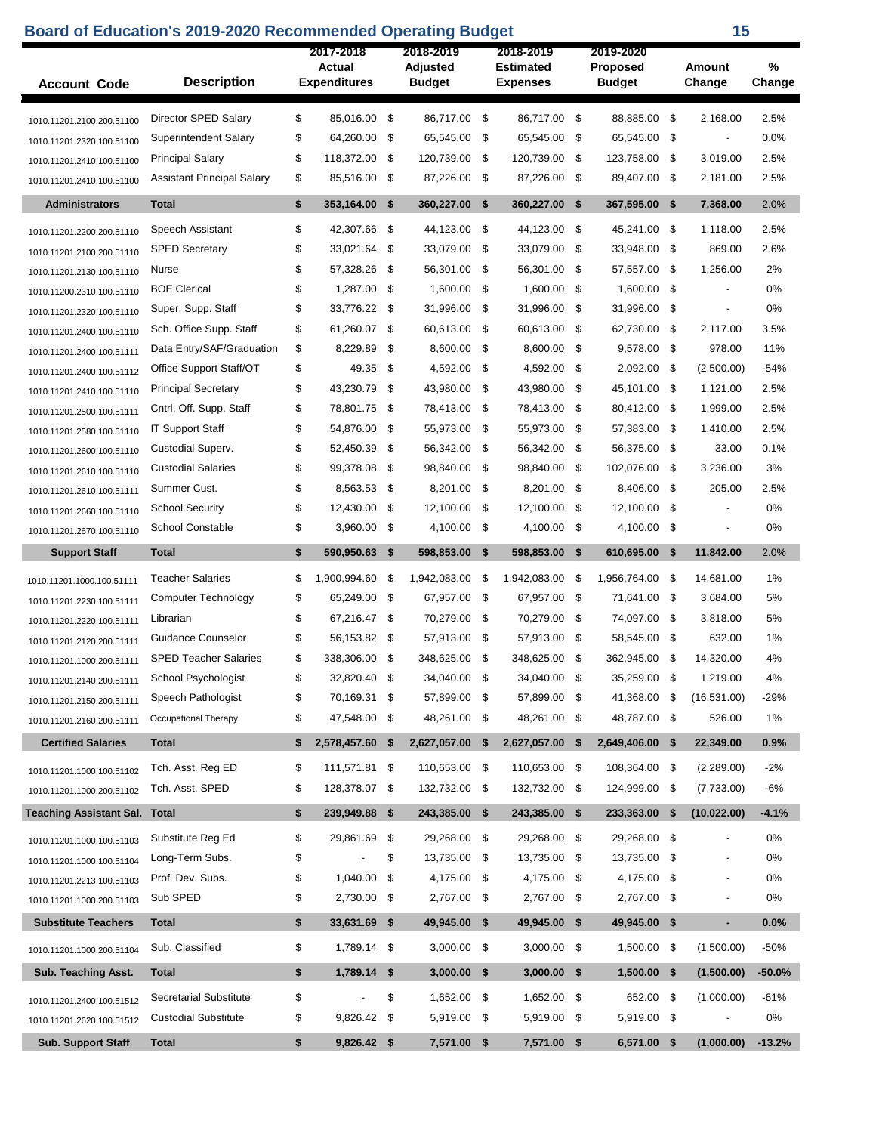## **Board of Education's 2019-2020 Recommended Operating Budget 15 15**

| <b>Account Code</b>                  | <b>Description</b>                | 2017-2018<br>Actual<br><b>Expenditures</b> |     | 2018-2019<br>Adjusted<br><b>Budget</b> |     | 2018-2019<br><b>Estimated</b><br>Expenses |     | 2019-2020<br><b>Proposed</b><br><b>Budget</b> |      | Amount<br>Change         | %<br>Change |
|--------------------------------------|-----------------------------------|--------------------------------------------|-----|----------------------------------------|-----|-------------------------------------------|-----|-----------------------------------------------|------|--------------------------|-------------|
| 1010.11201.2100.200.51100            | Director SPED Salary              | \$<br>85,016.00                            | \$  | 86,717.00 \$                           |     | 86,717.00                                 | \$  | 88.885.00 \$                                  |      | 2,168.00                 | 2.5%        |
| 1010.11201.2320.100.51100            | Superintendent Salary             | \$<br>64,260.00                            | \$  | 65,545.00                              | -\$ | 65,545.00                                 | \$  | 65,545.00                                     | \$   |                          | 0.0%        |
| 1010.11201.2410.100.51100            | <b>Principal Salary</b>           | \$<br>118,372.00                           | \$  | 120,739.00 \$                          |     | 120,739.00                                | \$  | 123,758.00 \$                                 |      | 3,019.00                 | 2.5%        |
| 1010.11201.2410.100.51100            | <b>Assistant Principal Salary</b> | \$<br>85,516.00                            | -\$ | 87,226.00 \$                           |     | 87,226.00                                 | -\$ | 89,407.00 \$                                  |      | 2,181.00                 | 2.5%        |
|                                      |                                   |                                            |     |                                        |     |                                           |     |                                               |      |                          |             |
| <b>Administrators</b>                | <b>Total</b>                      | \$<br>353,164.00                           | \$  | 360,227.00                             | \$  | 360,227.00                                | \$  | 367,595.00                                    | \$   | 7,368.00                 | 2.0%        |
| 1010.11201.2200.200.51110            | Speech Assistant                  | \$<br>42,307.66                            | \$  | 44,123.00                              | \$  | 44,123.00                                 | \$  | 45,241.00                                     | - \$ | 1.118.00                 | 2.5%        |
| 1010.11201.2100.200.51110            | <b>SPED Secretary</b>             | \$<br>33,021.64                            | \$  | 33,079.00                              | \$  | 33,079.00                                 | -\$ | 33,948.00                                     | -\$  | 869.00                   | 2.6%        |
| 1010.11201.2130.100.51110            | Nurse                             | \$<br>57,328.26                            | -\$ | 56,301.00                              | -\$ | 56,301.00                                 | \$  | 57,557.00                                     | - \$ | 1,256.00                 | 2%          |
| 1010.11200.2310.100.51110            | <b>BOE Clerical</b>               | \$<br>1,287.00                             | -\$ | 1,600.00                               | -\$ | 1,600.00                                  | \$  | 1,600.00                                      | \$   | $\overline{\phantom{a}}$ | 0%          |
| 1010.11201.2320.100.51110            | Super. Supp. Staff                | \$<br>33,776.22                            | \$  | 31,996.00                              | \$  | 31,996.00                                 | \$  | 31,996.00                                     | \$   | $\overline{a}$           | 0%          |
| 1010.11201.2400.100.51110            | Sch. Office Supp. Staff           | \$<br>61,260.07                            | \$  | 60,613.00 \$                           |     | 60,613.00                                 | \$  | 62,730.00                                     | \$   | 2.117.00                 | 3.5%        |
| 1010.11201.2400.100.51111            | Data Entry/SAF/Graduation         | \$<br>8,229.89                             | \$  | 8.600.00                               | -\$ | 8,600.00                                  | \$  | 9,578.00                                      | -\$  | 978.00                   | 11%         |
| 1010.11201.2400.100.51112            | Office Support Staff/OT           | \$<br>49.35                                | \$  | 4,592.00                               | \$  | 4,592.00                                  | \$  | 2,092.00                                      | \$   | (2,500.00)               | $-54%$      |
| 1010.11201.2410.100.51110            | <b>Principal Secretary</b>        | \$<br>43,230.79                            | \$  | 43,980.00                              | -\$ | 43,980.00                                 | -\$ | 45,101.00 \$                                  |      | 1,121.00                 | 2.5%        |
| 1010.11201.2500.100.51111            | Cntrl. Off. Supp. Staff           | \$<br>78,801.75                            | \$  | 78,413.00                              | \$  | 78,413.00                                 | \$  | 80,412.00                                     | \$   | 1,999.00                 | 2.5%        |
| 1010.11201.2580.100.51110            | <b>IT Support Staff</b>           | \$<br>54,876.00                            | \$  | 55,973.00                              | -\$ | 55,973.00                                 | \$  | 57,383.00                                     | \$   | 1,410.00                 | 2.5%        |
| 1010.11201.2600.100.51110            | Custodial Superv.                 | \$<br>52.450.39                            | \$  | 56,342.00                              | -\$ | 56.342.00                                 | \$  | 56,375.00 \$                                  |      | 33.00                    | 0.1%        |
| 1010.11201.2610.100.51110            | <b>Custodial Salaries</b>         | \$<br>99,378.08                            | \$  | 98,840.00                              | \$  | 98,840.00                                 | \$  | 102,076.00                                    | \$   | 3,236.00                 | 3%          |
| 1010.11201.2610.100.51111            | Summer Cust.                      | \$<br>8,563.53                             | -\$ | 8,201.00                               | -\$ | 8,201.00                                  | \$  | 8,406.00                                      | - \$ | 205.00                   | 2.5%        |
| 1010.11201.2660.100.51110            | <b>School Security</b>            | \$<br>12,430.00                            | \$  | 12,100.00 \$                           |     | 12,100.00                                 | \$  | 12,100.00                                     | \$   |                          | 0%          |
| 1010.11201.2670.100.51110            | <b>School Constable</b>           | \$<br>3,960.00                             | -\$ | 4,100.00 \$                            |     | 4,100.00                                  | \$  | 4,100.00 \$                                   |      | $\overline{\phantom{a}}$ | 0%          |
| <b>Support Staff</b>                 | <b>Total</b>                      | \$<br>590,950.63                           | \$  | 598,853.00 \$                          |     | 598,853.00                                | -\$ | 610,695.00 \$                                 |      | 11,842.00                | 2.0%        |
| 1010.11201.1000.100.51111            | <b>Teacher Salaries</b>           | \$<br>1,900,994.60                         | -\$ | 1,942,083.00                           | \$  | 1,942,083.00                              | \$  | 1,956,764.00 \$                               |      | 14,681.00                | 1%          |
| 1010.11201.2230.100.51111            | Computer Technology               | \$<br>65,249.00                            | -\$ | 67,957.00                              | -\$ | 67,957.00                                 | \$  | 71,641.00                                     | - \$ | 3,684.00                 | 5%          |
| 1010.11201.2220.100.51111            | Librarian                         | \$<br>67,216.47                            | \$  | 70,279.00                              | \$  | 70,279.00                                 | \$  | 74,097.00                                     | \$   | 3,818.00                 | 5%          |
| 1010.11201.2120.200.51111            | Guidance Counselor                | \$<br>56,153.82                            | -\$ | 57,913.00 \$                           |     | 57,913.00                                 | \$  | 58,545.00 \$                                  |      | 632.00                   | 1%          |
| 1010.11201.1000.200.51111            | <b>SPED Teacher Salaries</b>      | \$<br>338,306.00                           | \$  | 348,625.00                             | \$  | 348,625.00                                | \$  | 362,945.00                                    | \$   | 14,320.00                | 4%          |
| 1010.11201.2140.200.51111            | School Psychologist               | \$<br>32,820.40                            | \$  | 34,040.00                              | \$  | 34,040.00                                 | \$  | 35,259.00                                     | \$   | 1,219.00                 | 4%          |
| 1010.11201.2150.200.51111            | Speech Pathologist                | \$<br>70,169.31                            | \$  | 57,899.00 \$                           |     | 57,899.00 \$                              |     | 41,368.00 \$                                  |      | (16, 531.00)             | $-29%$      |
| 1010.11201.2160.200.51111            | Occupational Therapy              | \$<br>47,548.00                            | -\$ | 48,261.00 \$                           |     | 48,261.00                                 | -\$ | 48,787.00 \$                                  |      | 526.00                   | $1\%$       |
| <b>Certified Salaries</b>            | <b>Total</b>                      | \$<br>2,578,457.60                         | \$  | 2,627,057.00                           | \$  | 2,627,057.00                              | \$  | 2,649,406.00                                  | \$   | 22,349.00                | 0.9%        |
| 1010.11201.1000.100.51102            | Tch. Asst. Reg ED                 | \$<br>111,571.81                           | \$  | 110,653.00 \$                          |     | 110,653.00                                | -\$ | 108,364.00 \$                                 |      | (2,289.00)               | $-2%$       |
| 1010.11201.1000.200.51102            | Tch. Asst. SPED                   | \$<br>128,378.07                           | \$  | 132,732.00 \$                          |     | 132,732.00                                | -\$ | 124,999.00 \$                                 |      | (7,733.00)               | -6%         |
| <b>Teaching Assistant Sal. Total</b> |                                   | \$<br>239,949.88                           | \$  | 243,385.00 \$                          |     | 243,385.00                                | \$  | 233,363.00                                    | \$   | (10,022.00)              | $-4.1%$     |
| 1010.11201.1000.100.51103            | Substitute Reg Ed                 | \$<br>29,861.69                            | \$  | 29,268.00 \$                           |     | 29,268.00                                 | \$  | 29,268.00                                     | \$   |                          | $0\%$       |
| 1010.11201.1000.100.51104            | Long-Term Subs.                   | \$                                         | \$  | 13,735.00                              | -\$ | 13,735.00                                 | \$  | 13,735.00                                     | \$   | $\blacksquare$           | 0%          |
| 1010.11201.2213.100.51103            | Prof. Dev. Subs.                  | \$<br>1,040.00                             | \$  | 4,175.00 \$                            |     | 4,175.00                                  | -\$ | 4,175.00 \$                                   |      | $\overline{\phantom{0}}$ | 0%          |
| 1010.11201.1000.200.51103            | Sub SPED                          | \$<br>2,730.00                             | \$  | 2,767.00 \$                            |     | 2,767.00                                  | \$  | 2,767.00 \$                                   |      | $\overline{\phantom{0}}$ | 0%          |
| <b>Substitute Teachers</b>           | <b>Total</b>                      | \$<br>33,631.69                            | \$  | 49,945.00 \$                           |     | 49,945.00 \$                              |     | 49,945.00 \$                                  |      | ٠                        | 0.0%        |
| 1010.11201.1000.200.51104            | Sub. Classified                   | \$<br>1,789.14                             | -\$ | 3,000.00 \$                            |     | 3,000.00                                  | -\$ | 1,500.00 \$                                   |      | (1,500.00)               | $-50%$      |
| Sub. Teaching Asst.                  |                                   | \$<br>1,789.14 \$                          |     | $3,000.00$ \$                          |     | 3,000.00                                  | \$  | $1,500.00$ \$                                 |      | (1,500.00)               | $-50.0%$    |
|                                      | <b>Total</b>                      |                                            |     |                                        |     |                                           |     |                                               |      |                          |             |
| 1010.11201.2400.100.51512            | <b>Secretarial Substitute</b>     | \$                                         | \$  | 1,652.00 \$                            |     | 1,652.00                                  | \$  | 652.00 \$                                     |      | (1,000.00)               | $-61%$      |
| 1010.11201.2620.100.51512            | <b>Custodial Substitute</b>       | \$<br>9,826.42                             | \$  | 5,919.00 \$                            |     | 5,919.00                                  | \$  | 5,919.00 \$                                   |      | $\overline{\phantom{a}}$ | 0%          |
| <b>Sub. Support Staff</b>            | <b>Total</b>                      | \$<br>9,826.42 \$                          |     | 7,571.00                               | \$  | 7,571.00 \$                               |     | 6,571.00                                      | \$   | (1,000.00)               | $-13.2%$    |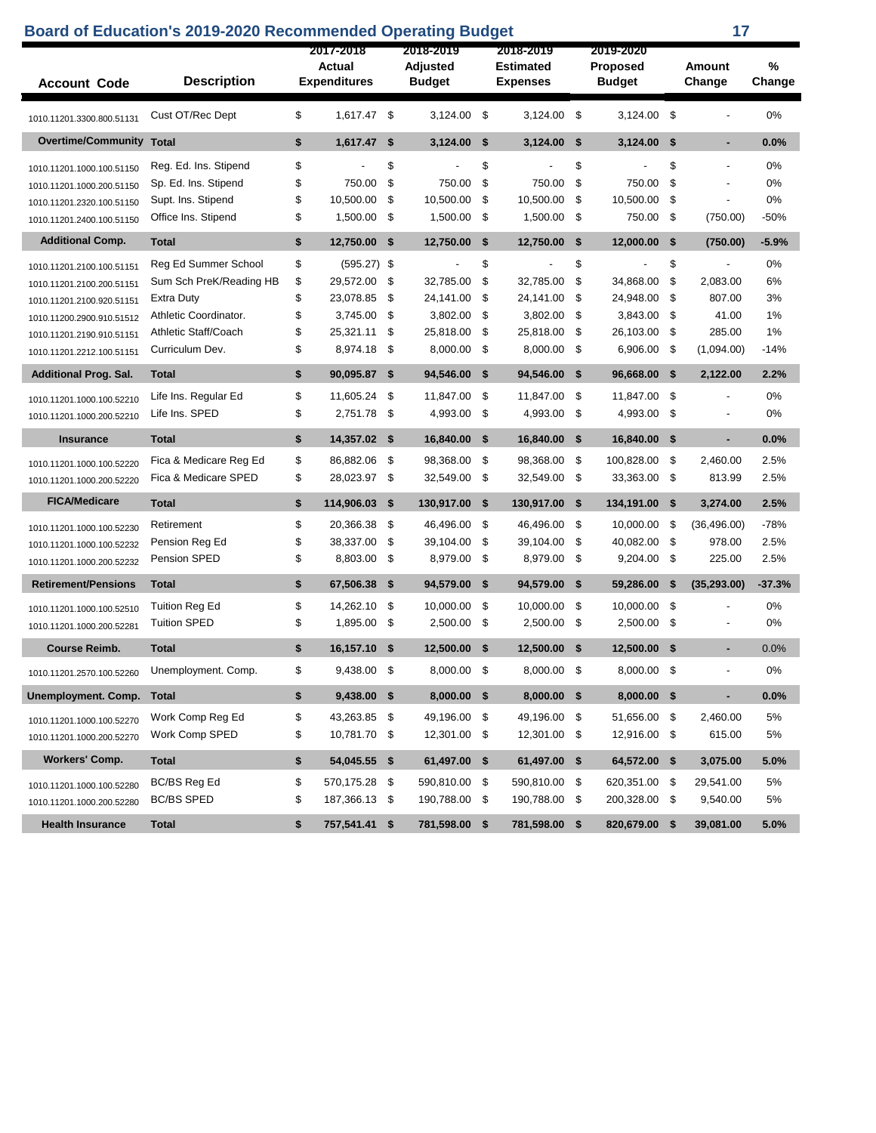| <b>Board of Education's 2019-2020 Recommended Operating Budget</b> |                                          |          |                                            |      |                                        |      |                                                  |              |                                        |      | 17                       |                |
|--------------------------------------------------------------------|------------------------------------------|----------|--------------------------------------------|------|----------------------------------------|------|--------------------------------------------------|--------------|----------------------------------------|------|--------------------------|----------------|
| <b>Account Code</b>                                                | <b>Description</b>                       |          | 2017-2018<br>Actual<br><b>Expenditures</b> |      | 2018-2019<br>Adjusted<br><b>Budget</b> |      | 2018-2019<br><b>Estimated</b><br><b>Expenses</b> |              | 2019-2020<br>Proposed<br><b>Budget</b> |      | Amount<br>Change         | $\%$<br>Change |
| 1010.11201.3300.800.51131                                          | Cust OT/Rec Dept                         | \$       | 1,617.47                                   | -\$  | 3,124.00                               | - \$ | 3,124.00                                         | \$           | 3,124.00                               | -\$  |                          | 0%             |
| <b>Overtime/Community Total</b>                                    |                                          | \$       | 1,617.47                                   | - \$ | 3,124.00                               | -\$  | 3,124.00                                         | -\$          | 3,124.00                               | -\$  | $\blacksquare$           | 0.0%           |
| 1010.11201.1000.100.51150                                          | Reg. Ed. Ins. Stipend                    | \$       |                                            | \$   |                                        | \$   |                                                  | \$           |                                        | \$   | $\overline{\phantom{a}}$ | 0%             |
| 1010.11201.1000.200.51150                                          | Sp. Ed. Ins. Stipend                     | \$       | 750.00                                     | \$   | 750.00                                 | \$   | 750.00                                           | \$           | 750.00                                 | \$   |                          | 0%             |
| 1010.11201.2320.100.51150                                          | Supt. Ins. Stipend                       | \$       | 10,500.00                                  | \$   | 10,500.00                              | -\$  | 10,500.00                                        | \$           | 10,500.00                              | \$   | $\overline{\phantom{a}}$ | 0%             |
| 1010.11201.2400.100.51150                                          | Office Ins. Stipend                      | \$       | 1,500.00                                   | -\$  | 1,500.00 \$                            |      | 1,500.00                                         | -\$          | 750.00                                 | -\$  | (750.00)                 | $-50%$         |
| <b>Additional Comp.</b>                                            | <b>Total</b>                             | \$       | 12,750.00 \$                               |      | 12,750.00 \$                           |      | 12,750.00                                        | \$           | 12,000.00 \$                           |      | (750.00)                 | $-5.9%$        |
| 1010.11201.2100.100.51151                                          | Reg Ed Summer School                     | \$       | $(595.27)$ \$                              |      |                                        | \$   |                                                  | \$           |                                        | \$   |                          | 0%             |
| 1010.11201.2100.200.51151                                          | Sum Sch PreK/Reading HB                  | \$       | 29,572.00                                  | -\$  | 32,785.00                              | \$   | 32,785.00                                        | \$           | 34,868.00                              | \$   | 2,083.00                 | 6%             |
| 1010.11201.2100.920.51151                                          | <b>Extra Duty</b>                        | \$       | 23,078.85                                  | \$   | 24,141.00                              | \$   | 24,141.00                                        | \$           | 24,948.00                              | -\$  | 807.00                   | 3%             |
| 1010.11200.2900.910.51512                                          | Athletic Coordinator.                    | \$       | 3,745.00                                   | \$   | 3,802.00                               | \$   | 3,802.00                                         | \$           | 3,843.00                               | \$   | 41.00                    | 1%             |
| 1010.11201.2190.910.51151                                          | Athletic Staff/Coach                     | \$       | 25,321.11                                  | \$   | 25,818.00                              | \$   | 25,818.00                                        | \$           | 26,103.00                              | -\$  | 285.00                   | 1%             |
| 1010.11201.2212.100.51151                                          | Curriculum Dev.                          | \$       | 8,974.18                                   | -\$  | 8,000.00                               | \$   | 8,000.00                                         | \$           | 6,906.00                               | -\$  | (1,094.00)               | $-14%$         |
| <b>Additional Prog. Sal.</b>                                       | <b>Total</b>                             | \$       | 90,095.87                                  | -\$  | 94,546.00                              | - \$ | 94,546.00                                        | -\$          | 96,668.00                              | - \$ | 2,122.00                 | 2.2%           |
| 1010.11201.1000.100.52210                                          | Life Ins. Regular Ed                     | \$       | 11,605.24                                  | -\$  | 11,847.00                              | - \$ | 11,847.00                                        | -\$          | 11,847.00                              | \$   |                          | 0%             |
| 1010.11201.1000.200.52210                                          | Life Ins. SPED                           | \$       | 2,751.78 \$                                |      | 4,993.00 \$                            |      | 4,993.00                                         | - \$         | 4,993.00 \$                            |      |                          | 0%             |
| <b>Insurance</b>                                                   | <b>Total</b>                             | \$       | 14,357.02 \$                               |      | 16,840.00                              | - \$ | 16,840.00                                        | -\$          | 16,840.00 \$                           |      | ٠                        | 0.0%           |
| 1010.11201.1000.100.52220                                          | Fica & Medicare Reg Ed                   | \$       | 86,882.06                                  | -\$  | 98,368.00                              | -\$  | 98,368.00                                        | -\$          | 100,828.00                             | -\$  | 2,460.00                 | 2.5%           |
| 1010.11201.1000.200.52220                                          | Fica & Medicare SPED                     | \$       | 28,023.97                                  | -\$  | 32,549.00                              | -\$  | 32,549.00                                        | -\$          | 33,363.00                              | -\$  | 813.99                   | 2.5%           |
| <b>FICA/Medicare</b>                                               | <b>Total</b>                             | \$       | 114,906.03                                 | -\$  | 130,917.00                             | -\$  | 130,917.00                                       | -\$          | 134,191.00                             | - \$ | 3,274.00                 | 2.5%           |
| 1010.11201.1000.100.52230                                          | Retirement                               | \$       | 20,366.38                                  | -\$  | 46,496.00                              | - \$ | 46,496.00                                        | -\$          | 10,000.00                              | - \$ | (36, 496.00)             | $-78%$         |
| 1010.11201.1000.100.52232                                          | Pension Reg Ed                           | \$       | 38,337.00                                  | \$   | 39,104.00 \$                           |      | 39,104.00                                        | -\$          | 40,082.00 \$                           |      | 978.00                   | 2.5%           |
| 1010.11201.1000.200.52232                                          | Pension SPED                             | \$       | 8,803.00                                   | -\$  | 8,979.00 \$                            |      | 8,979.00                                         | -\$          | 9,204.00                               | -\$  | 225.00                   | 2.5%           |
| <b>Retirement/Pensions</b>                                         | <b>Total</b>                             | \$       | 67,506.38                                  | -\$  | 94,579.00                              | -\$  | 94,579.00                                        | -\$          | 59,286.00                              | -\$  | (35, 293.00)             | $-37.3%$       |
| 1010.11201.1000.100.52510                                          | <b>Tuition Reg Ed</b>                    | \$       | 14,262.10                                  | -\$  | 10,000.00                              | -\$  | 10,000.00                                        | -\$          | 10.000.00                              | -\$  |                          | 0%             |
|                                                                    |                                          |          |                                            |      |                                        |      |                                                  |              |                                        |      |                          |                |
| 1010.11201.1000.200.52281                                          | <b>Tuition SPED</b>                      | \$       | 1,895.00                                   | -\$  | 2,500.00                               | -\$  | 2,500.00                                         | -\$          | 2,500.00                               | -\$  | $\overline{a}$           | 0%             |
| <b>Course Reimb.</b>                                               | <b>Total</b>                             | \$       | 16,157.10                                  | - \$ | 12,500.00 \$                           |      | 12,500.00                                        | - \$         | 12,500.00 \$                           |      |                          | 0.0%           |
| 1010.11201.2570.100.52260                                          | Unemployment. Comp.                      | \$       | 9,438.00 \$                                |      | 8,000.00 \$                            |      | 8,000.00 \$                                      |              | 8,000.00 \$                            |      |                          | 0%             |
| Unemployment. Comp.                                                | <b>Total</b>                             | \$       | $9,438.00$ \$                              |      | 8,000.00 \$                            |      | 8,000.00                                         | $\mathbf{s}$ | 8,000.00 \$                            |      | $\blacksquare$           | 0.0%           |
|                                                                    | Work Comp Reg Ed                         | \$       | 43,263.85                                  | - \$ | 49,196.00 \$                           |      | 49,196.00                                        | - \$         | 51,656.00 \$                           |      | 2,460.00                 | 5%             |
| 1010.11201.1000.100.52270<br>1010.11201.1000.200.52270             | <b>Work Comp SPED</b>                    | \$       | 10,781.70 \$                               |      | 12,301.00 \$                           |      | 12,301.00 \$                                     |              | 12,916.00 \$                           |      | 615.00                   | 5%             |
| <b>Workers' Comp.</b>                                              | <b>Total</b>                             | \$       | 54,045.55 \$                               |      | 61,497.00 \$                           |      | 61,497.00 \$                                     |              | 64,572.00 \$                           |      | 3,075.00                 | 5.0%           |
|                                                                    |                                          |          |                                            |      |                                        |      |                                                  |              |                                        |      |                          |                |
| 1010.11201.1000.100.52280<br>1010.11201.1000.200.52280             | <b>BC/BS Reg Ed</b><br><b>BC/BS SPED</b> | \$<br>\$ | 570,175.28<br>187,366.13 \$                | - \$ | 590,810.00 \$<br>190,788.00 \$         |      | 590,810.00<br>190,788.00 \$                      | - \$         | 620,351.00 \$<br>200,328.00 \$         |      | 29,541.00<br>9,540.00    | 5%<br>5%       |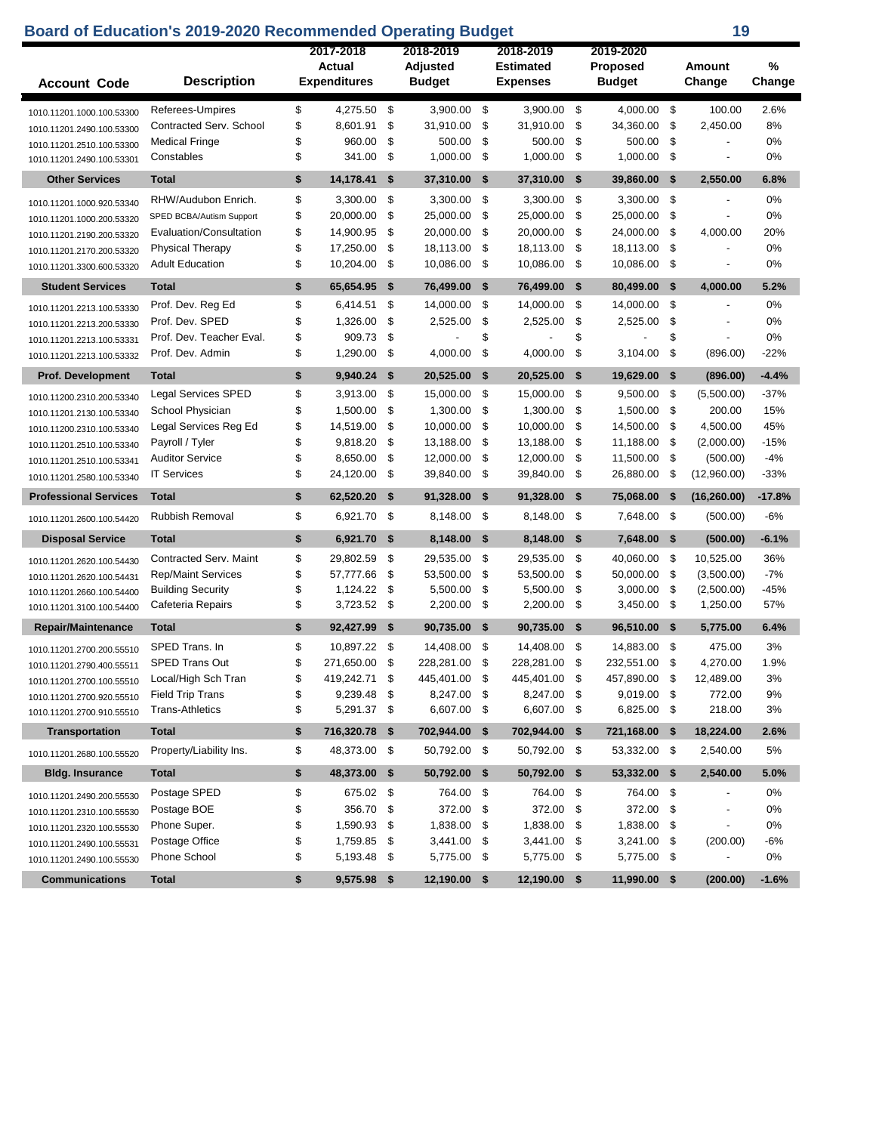## **Board of Education's 2019-2020 Recommended Operating Budget 19 19**

|                              |                            | 2017-2018           |      | 2018-2019     | 2018-2019        |      | 2019-2020       |      |                          |          |
|------------------------------|----------------------------|---------------------|------|---------------|------------------|------|-----------------|------|--------------------------|----------|
|                              |                            | Actual              |      | Adjusted      | <b>Estimated</b> |      | <b>Proposed</b> |      | <b>Amount</b>            | %        |
| <b>Account Code</b>          | <b>Description</b>         | <b>Expenditures</b> |      | <b>Budget</b> | <b>Expenses</b>  |      | <b>Budget</b>   |      | Change                   | Change   |
| 1010.11201.1000.100.53300    | Referees-Umpires           | \$<br>4,275.50      | \$   | 3,900.00      | \$<br>3,900.00   | -\$  | 4,000.00        | -\$  | 100.00                   | 2.6%     |
| 1010.11201.2490.100.53300    | Contracted Serv. School    | \$<br>8,601.91      | \$   | 31,910.00     | \$<br>31,910.00  | \$   | 34,360.00       | \$   | 2,450.00                 | 8%       |
| 1010.11201.2510.100.53300    | <b>Medical Fringe</b>      | \$<br>960.00        | \$   | 500.00        | \$<br>500.00     | \$   | 500.00          | \$   |                          | 0%       |
| 1010.11201.2490.100.53301    | Constables                 | \$<br>341.00        | \$   | 1,000.00      | \$<br>1,000.00   | \$   | 1,000.00        | \$   |                          | 0%       |
| <b>Other Services</b>        | <b>Total</b>               | \$<br>14,178.41     | \$   | 37,310.00     | \$<br>37,310.00  | \$   | 39,860.00       | \$   | 2,550.00                 | 6.8%     |
| 1010.11201.1000.920.53340    | RHW/Audubon Enrich.        | \$<br>3,300.00      | \$   | 3,300.00      | \$<br>3,300.00   | \$   | 3,300.00        | \$   |                          | 0%       |
| 1010.11201.1000.200.53320    | SPED BCBA/Autism Support   | \$<br>20,000.00     | \$   | 25,000.00     | \$<br>25,000.00  | \$   | 25,000.00       | \$   |                          | 0%       |
| 1010.11201.2190.200.53320    | Evaluation/Consultation    | \$<br>14,900.95     | \$   | 20,000.00     | \$<br>20,000.00  | \$   | 24,000.00       | \$   | 4,000.00                 | 20%      |
| 1010.11201.2170.200.53320    | <b>Physical Therapy</b>    | \$<br>17,250.00     | \$   | 18,113.00     | \$<br>18,113.00  | \$   | 18,113.00       | \$   |                          | 0%       |
| 1010.11201.3300.600.53320    | <b>Adult Education</b>     | \$<br>10,204.00     | \$   | 10,086.00     | \$<br>10,086.00  | \$   | 10,086.00       | \$   | $\overline{\phantom{a}}$ | 0%       |
| <b>Student Services</b>      | <b>Total</b>               | \$<br>65,654.95     | \$   | 76,499.00     | \$<br>76,499.00  | \$   | 80,499.00       | S.   | 4,000.00                 | 5.2%     |
| 1010.11201.2213.100.53330    | Prof. Dev. Reg Ed          | \$<br>6,414.51      | \$   | 14,000.00     | \$<br>14,000.00  | \$   | 14,000.00       | \$   |                          | 0%       |
| 1010.11201.2213.200.53330    | Prof. Dev. SPED            | \$<br>1,326.00      | \$   | 2,525.00      | \$<br>2,525.00   | \$   | 2,525.00        | \$   |                          | 0%       |
| 1010.11201.2213.100.53331    | Prof. Dev. Teacher Eval.   | \$<br>909.73        | \$   |               | \$               | \$   |                 | \$   |                          | 0%       |
| 1010.11201.2213.100.53332    | Prof. Dev. Admin           | \$<br>1,290.00      | \$   | 4,000.00      | \$<br>4,000.00   | \$   | 3,104.00        | \$   | (896.00)                 | $-22%$   |
| <b>Prof. Development</b>     | <b>Total</b>               | \$<br>9,940.24      | -\$  | 20,525.00     | \$<br>20,525.00  | \$   | 19,629.00       | S.   | (896.00)                 | $-4.4%$  |
| 1010.11200.2310.200.53340    | <b>Legal Services SPED</b> | \$<br>3,913.00      | \$   | 15,000.00     | \$<br>15,000.00  | \$   | 9,500.00        | \$   | (5,500.00)               | $-37%$   |
| 1010.11201.2130.100.53340    | School Physician           | \$<br>1,500.00      | \$   | 1,300.00      | \$<br>1,300.00   | \$   | 1,500.00        | \$   | 200.00                   | 15%      |
| 1010.11200.2310.100.53340    | Legal Services Reg Ed      | \$<br>14,519.00     | \$   | 10,000.00     | \$<br>10,000.00  | \$   | 14,500.00       | \$   | 4,500.00                 | 45%      |
| 1010.11201.2510.100.53340    | Payroll / Tyler            | \$<br>9,818.20      | \$   | 13,188.00     | \$<br>13,188.00  | \$   | 11,188.00       | \$   | (2,000.00)               | $-15%$   |
| 1010.11201.2510.100.53341    | <b>Auditor Service</b>     | \$<br>8,650.00      | \$   | 12,000.00     | \$<br>12,000.00  | \$   | 11,500.00       | \$   | (500.00)                 | $-4%$    |
| 1010.11201.2580.100.53340    | <b>IT Services</b>         | \$<br>24,120.00     | \$   | 39,840.00     | \$<br>39,840.00  | \$   | 26,880.00       | \$   | (12,960.00)              | $-33%$   |
| <b>Professional Services</b> | <b>Total</b>               | \$<br>62,520.20     | \$   | 91,328.00     | \$<br>91,328.00  | \$   | 75,068.00       | \$   | (16, 260.00)             | $-17.8%$ |
| 1010.11201.2600.100.54420    | <b>Rubbish Removal</b>     | \$<br>6,921.70      | \$   | 8,148.00      | \$<br>8,148.00   | \$   | 7,648.00        | -\$  | (500.00)                 | $-6%$    |
| <b>Disposal Service</b>      | <b>Total</b>               | \$<br>6,921.70      | -\$  | 8,148.00      | \$<br>8,148.00   | \$   | 7,648.00        | - \$ | (500.00)                 | $-6.1%$  |
| 1010.11201.2620.100.54430    | Contracted Serv. Maint     | \$<br>29,802.59     | \$   | 29,535.00     | \$<br>29,535.00  | \$   | 40,060.00       | \$   | 10,525.00                | 36%      |
| 1010.11201.2620.100.54431    | <b>Rep/Maint Services</b>  | \$<br>57,777.66     | \$   | 53,500.00     | \$<br>53,500.00  | \$   | 50,000.00       | \$   | (3,500.00)               | $-7%$    |
| 1010.11201.2660.100.54400    | <b>Building Security</b>   | \$<br>1,124.22      | \$   | 5,500.00      | \$<br>5,500.00   | \$   | 3,000.00        | \$   | (2,500.00)               | -45%     |
| 1010.11201.3100.100.54400    | Cafeteria Repairs          | \$<br>3,723.52      | \$   | 2,200.00      | \$<br>2,200.00   | \$   | 3,450.00        | \$   | 1,250.00                 | 57%      |
| <b>Repair/Maintenance</b>    | <b>Total</b>               | \$<br>92,427.99     | \$   | 90,735.00     | \$<br>90,735.00  | \$   | 96,510.00       | \$   | 5,775.00                 | 6.4%     |
| 1010.11201.2700.200.55510    | SPED Trans. In             | \$<br>10,897.22     | \$   | 14,408.00     | \$<br>14,408.00  | \$   | 14,883.00       | \$   | 475.00                   | 3%       |
| 1010.11201.2790.400.55511    | <b>SPED Trans Out</b>      | \$<br>271,650.00    | \$   | 228,281.00    | \$<br>228,281.00 | \$   | 232,551.00      | \$   | 4,270.00                 | 1.9%     |
| 1010.11201.2700.100.55510    | Local/High Sch Tran        | \$<br>419,242.71    | \$   | 445,401.00    | \$<br>445,401.00 | \$   | 457,890.00      | \$   | 12,489.00                | 3%       |
| 1010.11201.2700.920.55510    | <b>Field Trip Trans</b>    | \$<br>9,239.48      | -\$  | 8,247.00 \$   | 8,247.00 \$      |      | 9,019.00 \$     |      | 772.00                   | 9%       |
| 1010.11201.2700.910.55510    | <b>Trans-Athletics</b>     | \$<br>5,291.37 \$   |      | 6,607.00 \$   | 6,607.00 \$      |      | 6,825.00 \$     |      | 218.00                   | 3%       |
| <b>Transportation</b>        | <b>Total</b>               | \$<br>716,320.78    | - \$ | 702,944.00    | \$<br>702,944.00 | - \$ | 721,168.00      | \$   | 18,224.00                | 2.6%     |
| 1010.11201.2680.100.55520    | Property/Liability Ins.    | \$<br>48,373.00 \$  |      | 50,792.00 \$  | 50,792.00 \$     |      | 53,332.00 \$    |      | 2,540.00                 | 5%       |
| <b>Bldg. Insurance</b>       | <b>Total</b>               | \$<br>48,373.00     | \$   | 50,792.00 \$  | 50,792.00 \$     |      | 53,332.00 \$    |      | 2,540.00                 | 5.0%     |
| 1010.11201.2490.200.55530    | Postage SPED               | \$<br>675.02        | \$   | 764.00 \$     | 764.00           | \$   | 764.00 \$       |      |                          | 0%       |
| 1010.11201.2310.100.55530    | Postage BOE                | \$<br>356.70        | \$   | 372.00 \$     | 372.00 \$        |      | 372.00          | \$   |                          | 0%       |
| 1010.11201.2320.100.55530    | Phone Super.               | \$<br>1,590.93      | \$   | 1,838.00 \$   | 1,838.00 \$      |      | 1,838.00 \$     |      |                          | 0%       |
| 1010.11201.2490.100.55531    | Postage Office             | \$<br>1,759.85      | \$   | 3,441.00 \$   | 3,441.00 \$      |      | 3,241.00 \$     |      | (200.00)                 | $-6%$    |
| 1010.11201.2490.100.55530    | Phone School               | \$<br>5,193.48      | \$   | 5,775.00 \$   | 5,775.00 \$      |      | 5,775.00 \$     |      |                          | 0%       |
| <b>Communications</b>        | <b>Total</b>               | \$<br>9,575.98 \$   |      | 12,190.00 \$  | 12,190.00 \$     |      | 11,990.00 \$    |      | (200.00)                 | $-1.6%$  |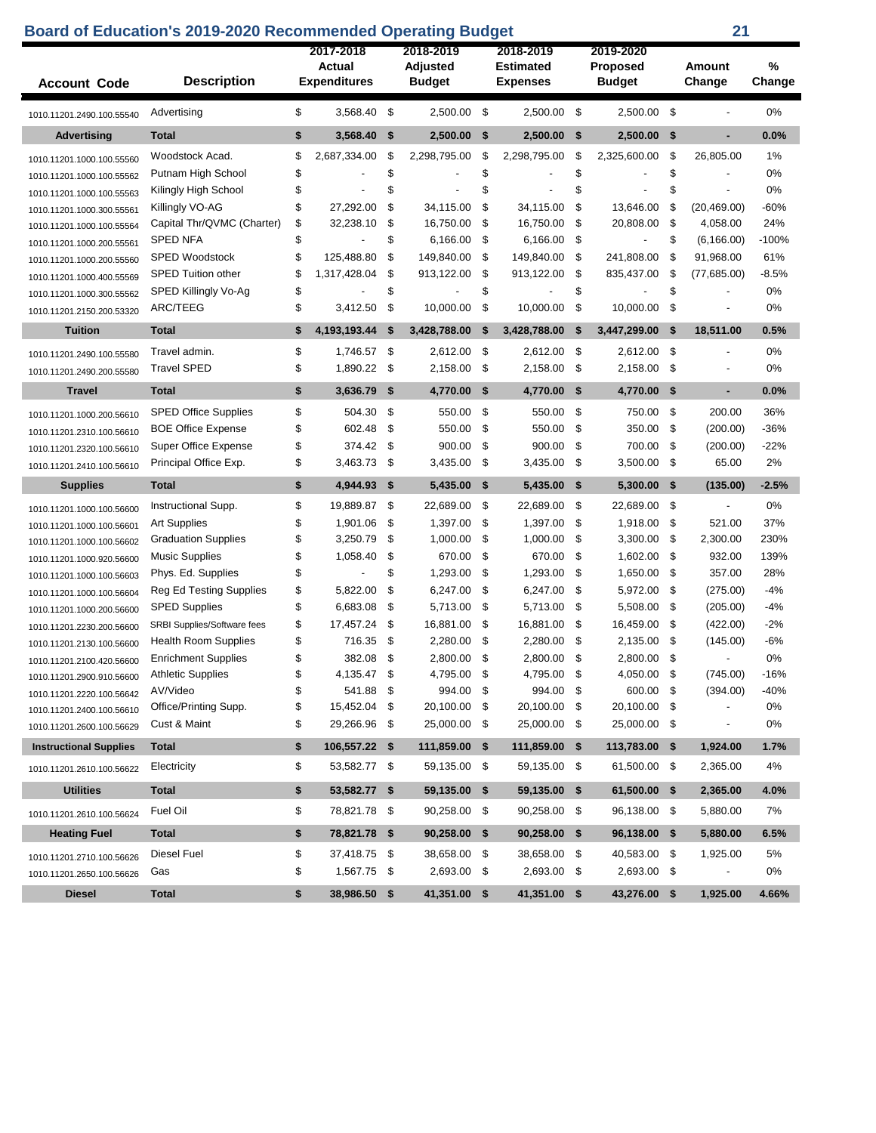| <b>Account Code</b>           | <b>Description</b>             | 2017-2018<br><b>Actual</b><br><b>Expenditures</b> |     | 2018-2019<br><b>Adjusted</b><br><b>Budget</b> |     | 2018-2019<br><b>Estimated</b><br><b>Expenses</b> | 2019-2020<br><b>Proposed</b><br><b>Budget</b> |              | Amount<br>Change | %<br>Change |
|-------------------------------|--------------------------------|---------------------------------------------------|-----|-----------------------------------------------|-----|--------------------------------------------------|-----------------------------------------------|--------------|------------------|-------------|
| 1010.11201.2490.100.55540     | Advertising                    | \$<br>3,568.40                                    | \$  | 2,500.00                                      | -\$ | 2.500.00                                         | \$<br>2,500.00 \$                             |              |                  | 0%          |
| <b>Advertising</b>            | <b>Total</b>                   | \$<br>3,568.40                                    | \$  | 2,500.00                                      | -\$ | 2,500.00                                         | \$<br>2,500.00                                | \$           | ٠                | 0.0%        |
| 1010.11201.1000.100.55560     | Woodstock Acad.                | \$<br>2,687,334.00                                | \$  | 2,298,795.00                                  | -\$ | 2,298,795.00                                     | \$<br>2,325,600.00                            | \$           | 26,805.00        | 1%          |
| 1010.11201.1000.100.55562     | Putnam High School             | \$                                                | \$  |                                               | \$  |                                                  | \$                                            | \$           |                  | 0%          |
| 1010.11201.1000.100.55563     | Kilingly High School           | \$                                                | \$  |                                               | \$  |                                                  | \$                                            | \$           |                  | 0%          |
| 1010.11201.1000.300.55561     | Killingly VO-AG                | \$<br>27,292.00                                   | \$  | 34,115.00                                     | \$  | 34,115.00                                        | \$<br>13,646.00                               | \$           | (20, 469.00)     | $-60%$      |
| 1010.11201.1000.100.55564     | Capital Thr/QVMC (Charter)     | \$<br>32,238.10                                   | \$  | 16,750.00                                     | \$  | 16,750.00                                        | \$<br>20,808.00                               | \$           | 4,058.00         | 24%         |
| 1010.11201.1000.200.55561     | <b>SPED NFA</b>                | \$                                                | \$  | 6,166.00                                      | \$  | 6,166.00                                         | \$                                            | \$           | (6, 166.00)      | $-100%$     |
| 1010.11201.1000.200.55560     | <b>SPED Woodstock</b>          | \$<br>125,488.80                                  | \$  | 149,840.00                                    | \$  | 149,840.00                                       | \$<br>241,808.00                              | \$           | 91,968.00        | 61%         |
| 1010.11201.1000.400.55569     | SPED Tuition other             | \$<br>1,317,428.04                                | \$  | 913,122.00                                    | \$  | 913,122.00                                       | \$<br>835,437.00                              | \$           | (77,685.00)      | $-8.5%$     |
| 1010.11201.1000.300.55562     | SPED Killingly Vo-Ag           | \$                                                | \$  |                                               | \$  |                                                  | \$                                            | \$           |                  | 0%          |
| 1010.11201.2150.200.53320     | ARC/TEEG                       | \$<br>3,412.50                                    | \$  | 10,000.00                                     | \$  | 10,000.00                                        | \$<br>10,000.00                               | \$           |                  | 0%          |
| <b>Tuition</b>                | <b>Total</b>                   | \$<br>4,193,193.44                                | \$  | 3,428,788.00                                  | -\$ | 3,428,788.00                                     | \$<br>3,447,299.00                            | \$           | 18,511.00        | 0.5%        |
| 1010.11201.2490.100.55580     | Travel admin.                  | \$<br>1,746.57                                    | -\$ | 2,612.00                                      | -\$ | 2,612.00                                         | \$<br>2,612.00                                | \$           |                  | 0%          |
| 1010.11201.2490.200.55580     | <b>Travel SPED</b>             | \$<br>1,890.22                                    | -\$ | 2,158.00                                      | \$  | 2,158.00                                         | \$<br>2,158.00                                | \$           | $\overline{a}$   | 0%          |
| <b>Travel</b>                 | <b>Total</b>                   | \$<br>3,636.79                                    | \$  | 4,770.00                                      | \$  | 4,770.00                                         | \$<br>4,770.00                                | \$           | ٠                | 0.0%        |
| 1010.11201.1000.200.56610     | <b>SPED Office Supplies</b>    | \$<br>504.30                                      | \$  | 550.00                                        | \$  | 550.00                                           | \$<br>750.00                                  | \$           | 200.00           | 36%         |
| 1010.11201.2310.100.56610     | <b>BOE Office Expense</b>      | \$<br>602.48                                      | \$  | 550.00                                        | \$  | 550.00                                           | \$<br>350.00                                  | \$           | (200.00)         | $-36%$      |
| 1010.11201.2320.100.56610     | Super Office Expense           | \$<br>374.42                                      | \$  | 900.00                                        | \$  | 900.00                                           | \$<br>700.00                                  | \$           | (200.00)         | $-22%$      |
| 1010.11201.2410.100.56610     | Principal Office Exp.          | \$<br>3,463.73                                    | \$  | 3,435.00                                      | \$  | 3,435.00                                         | \$<br>3,500.00                                | \$           | 65.00            | 2%          |
| <b>Supplies</b>               | <b>Total</b>                   | \$<br>4,944.93                                    | \$  | 5,435.00                                      | \$  | 5,435.00                                         | \$<br>5,300.00                                | \$           | (135.00)         | $-2.5%$     |
| 1010.11201.1000.100.56600     | Instructional Supp.            | \$<br>19,889.87                                   | -\$ | 22,689.00                                     | \$  | 22,689.00                                        | \$<br>22,689.00                               | \$           | $\blacksquare$   | 0%          |
| 1010.11201.1000.100.56601     | <b>Art Supplies</b>            | \$<br>1,901.06                                    | \$  | 1,397.00                                      | \$  | 1,397.00                                         | \$<br>1,918.00                                | \$           | 521.00           | 37%         |
| 1010.11201.1000.100.56602     | <b>Graduation Supplies</b>     | \$<br>3,250.79                                    | \$  | 1,000.00                                      | \$  | 1,000.00                                         | \$<br>3,300.00                                | \$           | 2,300.00         | 230%        |
| 1010.11201.1000.920.56600     | <b>Music Supplies</b>          | \$<br>1,058.40                                    | \$  | 670.00                                        | \$  | 670.00                                           | \$<br>1,602.00                                | \$           | 932.00           | 139%        |
| 1010.11201.1000.100.56603     | Phys. Ed. Supplies             | \$<br>$\overline{a}$                              | \$  | 1,293.00                                      | -\$ | 1,293.00                                         | \$<br>1,650.00                                | \$           | 357.00           | 28%         |
| 1010.11201.1000.100.56604     | <b>Reg Ed Testing Supplies</b> | \$<br>5,822.00                                    | \$  | 6,247.00                                      | \$  | 6,247.00                                         | \$<br>5,972.00                                | \$           | (275.00)         | $-4%$       |
| 1010.11201.1000.200.56600     | <b>SPED Supplies</b>           | \$<br>6,683.08                                    | \$  | 5,713.00                                      | \$  | 5,713.00                                         | \$<br>5,508.00                                | \$           | (205.00)         | -4%         |
| 1010.11201.2230.200.56600     | SRBI Supplies/Software fees    | \$<br>17,457.24                                   | \$  | 16,881.00                                     | -\$ | 16,881.00                                        | \$<br>16,459.00                               | \$           | (422.00)         | $-2%$       |
| 1010.11201.2130.100.56600     | <b>Health Room Supplies</b>    | \$<br>716.35                                      | \$  | 2,280.00                                      | \$  | 2,280.00                                         | \$<br>2,135.00                                | \$           | (145.00)         | -6%         |
| 1010.11201.2100.420.56600     | <b>Enrichment Supplies</b>     | \$<br>382.08                                      | \$  | 2,800.00                                      | -\$ | 2,800.00                                         | \$<br>2,800.00                                | \$           | $\blacksquare$   | 0%          |
| 1010.11201.2900.910.56600     | <b>Athletic Supplies</b>       | \$<br>4,135.47 \$                                 |     | 4,795.00 \$                                   |     | 4,795.00                                         | \$<br>4,050.00 \$                             |              | (745.00)         | $-16%$      |
| 1010.11201.2220.100.56642     | AV/Video                       | \$<br>541.88                                      | -\$ | 994.00 \$                                     |     | 994.00                                           | \$<br>600.00 \$                               |              | (394.00)         | $-40%$      |
| 1010.11201.2400.100.56610     | Office/Printing Supp.          | \$<br>15,452.04 \$                                |     | 20,100.00 \$                                  |     | 20,100.00                                        | \$<br>20,100.00 \$                            |              |                  | 0%          |
| 1010.11201.2600.100.56629     | Cust & Maint                   | \$<br>29,266.96 \$                                |     | 25,000.00 \$                                  |     | 25,000.00 \$                                     | 25,000.00 \$                                  |              |                  | 0%          |
| <b>Instructional Supplies</b> | <b>Total</b>                   | \$<br>106,557.22 \$                               |     | 111,859.00 \$                                 |     | 111,859.00 \$                                    | 113,783.00 \$                                 |              | 1,924.00         | 1.7%        |
| 1010.11201.2610.100.56622     | Electricity                    | \$<br>53,582.77 \$                                |     | 59,135.00 \$                                  |     | 59,135.00 \$                                     | 61,500.00 \$                                  |              | 2,365.00         | 4%          |
| <b>Utilities</b>              | <b>Total</b>                   | \$<br>53,582.77 \$                                |     | 59,135.00 \$                                  |     | 59,135.00 \$                                     | 61,500.00 \$                                  |              | 2,365.00         | 4.0%        |
| 1010.11201.2610.100.56624     | Fuel Oil                       | \$<br>78,821.78 \$                                |     | 90,258.00 \$                                  |     | 90,258.00 \$                                     | 96,138.00 \$                                  |              | 5,880.00         | 7%          |
| <b>Heating Fuel</b>           | <b>Total</b>                   | \$<br>78,821.78 \$                                |     | 90,258.00 \$                                  |     | 90,258.00 \$                                     | 96,138.00 \$                                  |              | 5,880.00         | 6.5%        |
| 1010.11201.2710.100.56626     | Diesel Fuel                    | \$<br>37,418.75 \$                                |     | 38,658.00 \$                                  |     | 38,658.00 \$                                     | 40,583.00 \$                                  |              | 1,925.00         | 5%          |
| 1010.11201.2650.100.56626     | Gas                            | \$<br>1,567.75 \$                                 |     | 2,693.00 \$                                   |     | 2,693.00 \$                                      | 2,693.00 \$                                   |              |                  | 0%          |
|                               |                                | 38,986.50 \$                                      |     | 41,351.00 \$                                  |     | 41,351.00 \$                                     |                                               | 43,276.00 \$ |                  |             |